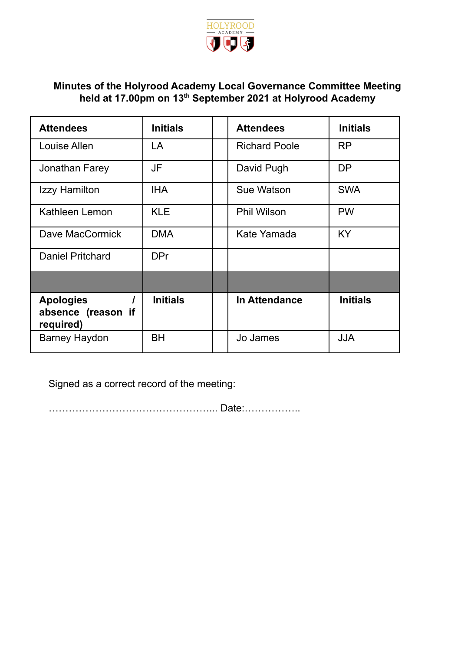

# **Minutes of the Holyrood Academy Local Governance Committee Meeting held at 17.00pm on 13 th September 2021 at Holyrood Academy**

| <b>Attendees</b>                                    | <b>Initials</b> | <b>Attendees</b>     | <b>Initials</b> |
|-----------------------------------------------------|-----------------|----------------------|-----------------|
| Louise Allen                                        | LA              | <b>Richard Poole</b> | <b>RP</b>       |
| Jonathan Farey                                      | <b>JF</b>       | David Pugh           | <b>DP</b>       |
| Izzy Hamilton                                       | <b>IHA</b>      | Sue Watson           | <b>SWA</b>      |
| Kathleen Lemon                                      | <b>KLE</b>      | <b>Phil Wilson</b>   | <b>PW</b>       |
| Dave MacCormick                                     | <b>DMA</b>      | Kate Yamada          | <b>KY</b>       |
| <b>Daniel Pritchard</b>                             | <b>DPr</b>      |                      |                 |
|                                                     |                 |                      |                 |
| <b>Apologies</b><br>absence (reason if<br>required) | <b>Initials</b> | In Attendance        | <b>Initials</b> |
| <b>Barney Haydon</b>                                | BH              | Jo James             | <b>JJA</b>      |

Signed as a correct record of the meeting:

…………………………………………... Date:……………..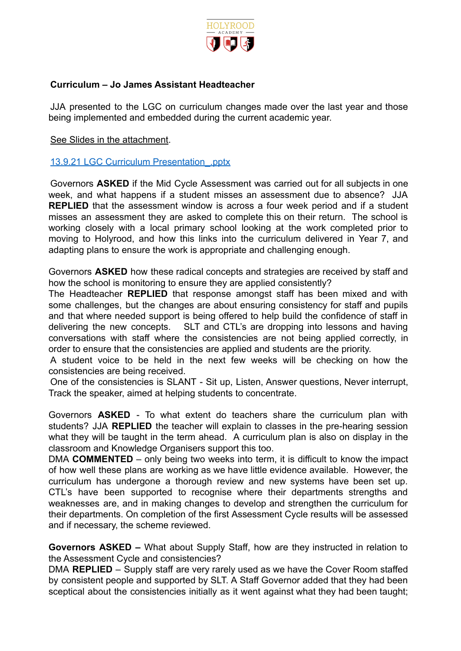

### **Curriculum – Jo James Assistant Headteacher**

JJA presented to the LGC on curriculum changes made over the last year and those being implemented and embedded during the current academic year.

See Slides in the attachment.

#### 13.9.21 LGC Curriculum Presentation\_.pptx

Governors **ASKED** if the Mid Cycle Assessment was carried out for all subjects in one week, and what happens if a student misses an assessment due to absence? JJA **REPLIED** that the assessment window is across a four week period and if a student misses an assessment they are asked to complete this on their return. The school is working closely with a local primary school looking at the work completed prior to moving to Holyrood, and how this links into the curriculum delivered in Year 7, and adapting plans to ensure the work is appropriate and challenging enough.

Governors **ASKED** how these radical concepts and strategies are received by staff and how the school is monitoring to ensure they are applied consistently?

The Headteacher **REPLIED** that response amongst staff has been mixed and with some challenges, but the changes are about ensuring consistency for staff and pupils and that where needed support is being offered to help build the confidence of staff in delivering the new concepts. SLT and CTL's are dropping into lessons and having conversations with staff where the consistencies are not being applied correctly, in order to ensure that the consistencies are applied and students are the priority.

A student voice to be held in the next few weeks will be checking on how the consistencies are being received.

One of the consistencies is SLANT - Sit up, Listen, Answer questions, Never interrupt, Track the speaker, aimed at helping students to concentrate.

Governors **ASKED** - To what extent do teachers share the curriculum plan with students? JJA **REPLIED** the teacher will explain to classes in the pre-hearing session what they will be taught in the term ahead. A curriculum plan is also on display in the classroom and Knowledge Organisers support this too.

DMA **COMMENTED** – only being two weeks into term, it is difficult to know the impact of how well these plans are working as we have little evidence available. However, the curriculum has undergone a thorough review and new systems have been set up. CTL's have been supported to recognise where their departments strengths and weaknesses are, and in making changes to develop and strengthen the curriculum for their departments. On completion of the first Assessment Cycle results will be assessed and if necessary, the scheme reviewed.

**Governors ASKED –** What about Supply Staff, how are they instructed in relation to the Assessment Cycle and consistencies?

DMA **REPLIED** – Supply staff are very rarely used as we have the Cover Room staffed by consistent people and supported by SLT. A Staff Governor added that they had been sceptical about the consistencies initially as it went against what they had been taught;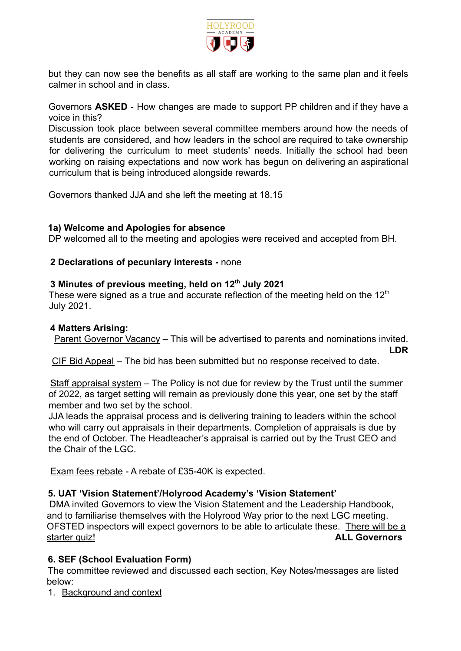

but they can now see the benefits as all staff are working to the same plan and it feels calmer in school and in class.

Governors **ASKED** - How changes are made to support PP children and if they have a voice in this?

Discussion took place between several committee members around how the needs of students are considered, and how leaders in the school are required to take ownership for delivering the curriculum to meet students' needs. Initially the school had been working on raising expectations and now work has begun on delivering an aspirational curriculum that is being introduced alongside rewards.

Governors thanked JJA and she left the meeting at 18.15

# **1a) Welcome and Apologies for absence**

DP welcomed all to the meeting and apologies were received and accepted from BH.

# **2 Declarations of pecuniary interests -** none

# **3 Minutes of previous meeting, held on 12th July 2021**

These were signed as a true and accurate reflection of the meeting held on the  $12<sup>th</sup>$ July 2021.

#### **4 Matters Arising:**

Parent Governor Vacancy - This will be advertised to parents and nominations invited. **LDR**

CIF Bid Appeal – The bid has been submitted but no response received to date.

Staff appraisal system – The Policy is not due for review by the Trust until the summer of 2022, as target setting will remain as previously done this year, one set by the staff member and two set by the school.

JJA leads the appraisal process and is delivering training to leaders within the school who will carry out appraisals in their departments. Completion of appraisals is due by the end of October. The Headteacher's appraisal is carried out by the Trust CEO and the Chair of the LGC.

Exam fees rebate - A rebate of £35-40K is expected.

# **5. UAT 'Vision Statement'/Holyrood Academy's 'Vision Statement'**

DMA invited Governors to view the Vision Statement and the Leadership Handbook, and to familiarise themselves with the Holyrood Way prior to the next LGC meeting. OFSTED inspectors will expect governors to be able to articulate these. There will be a starter quiz! **ALL Governors**

# **6. SEF (School Evaluation Form)**

The committee reviewed and discussed each section, Key Notes/messages are listed below:

1. Background and context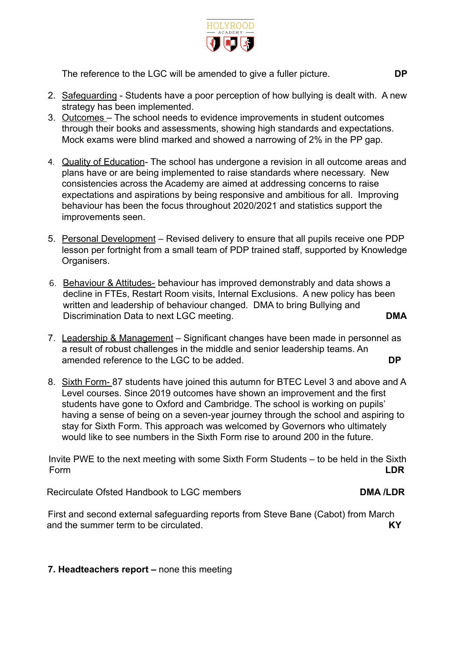

The reference to the LGC will be amended to give a fuller picture. **DP**

- 2. Safeguarding Students have a poor perception of how bullying is dealt with. A new strategy has been implemented.
- 3. Outcomes The school needs to evidence improvements in student outcomes through their books and assessments, showing high standards and expectations. Mock exams were blind marked and showed a narrowing of 2% in the PP gap.
- 4. Quality of Education- The school has undergone a revision in all outcome areas and plans have or are being implemented to raise standards where necessary. New consistencies across the Academy are aimed at addressing concerns to raise expectations and aspirations by being responsive and ambitious for all. Improving behaviour has been the focus throughout 2020/2021 and statistics support the improvements seen.
- 5. Personal Development Revised delivery to ensure that all pupils receive one PDP lesson per fortnight from a small team of PDP trained staff, supported by Knowledge Organisers.
- 6. Behaviour & Attitudes- behaviour has improved demonstrably and data shows a decline in FTEs, Restart Room visits, Internal Exclusions. A new policy has been written and leadership of behaviour changed. DMA to bring Bullying and Discrimination Data to next LGC meeting. **DMA**
- 7. Leadership & Management Significant changes have been made in personnel as a result of robust challenges in the middle and senior leadership teams. An amended reference to the LGC to be added. **DP**
- 8. Sixth Form- 87 students have joined this autumn for BTEC Level 3 and above and A Level courses. Since 2019 outcomes have shown an improvement and the first students have gone to Oxford and Cambridge. The school is working on pupils' having a sense of being on a seven-year journey through the school and aspiring to stay for Sixth Form. This approach was welcomed by Governors who ultimately would like to see numbers in the Sixth Form rise to around 200 in the future.

Invite PWE to the next meeting with some Sixth Form Students – to be held in the Sixth Form **LDR**

Recirculate Ofsted Handbook to LGC members **DMA /LDR** 

First and second external safeguarding reports from Steve Bane (Cabot) from March and the summer term to be circulated. **KY**

**7. Headteachers report –** none this meeting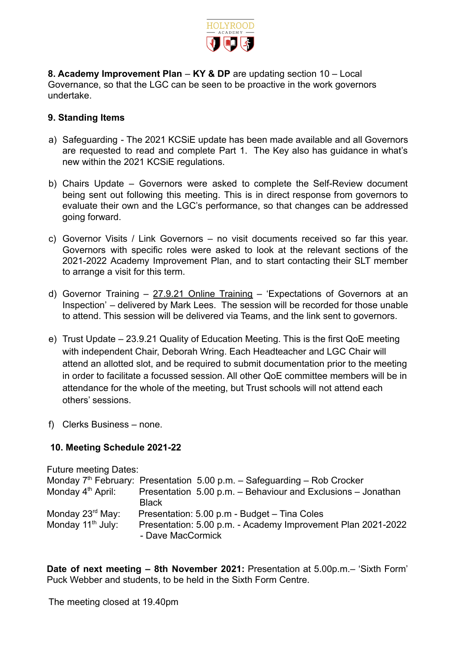

**8. Academy Improvement Plan** – **KY & DP** are updating section 10 – Local Governance, so that the LGC can be seen to be proactive in the work governors undertake.

## **9. Standing Items**

- a) Safeguarding The 2021 KCSiE update has been made available and all Governors are requested to read and complete Part 1. The Key also has guidance in what's new within the 2021 KCSiE regulations.
- b) Chairs Update Governors were asked to complete the Self-Review document being sent out following this meeting. This is in direct response from governors to evaluate their own and the LGC's performance, so that changes can be addressed going forward.
- c) Governor Visits / Link Governors no visit documents received so far this year. Governors with specific roles were asked to look at the relevant sections of the 2021-2022 Academy Improvement Plan, and to start contacting their SLT member to arrange a visit for this term.
- d) Governor Training  $-27.9.21$  Online Training  $-$  'Expectations of Governors at an Inspection' – delivered by Mark Lees. The session will be recorded for those unable to attend. This session will be delivered via Teams, and the link sent to governors.
- e) Trust Update 23.9.21 Quality of Education Meeting. This is the first QoE meeting with independent Chair, Deborah Wring. Each Headteacher and LGC Chair will attend an allotted slot, and be required to submit documentation prior to the meeting in order to facilitate a focussed session. All other QoE committee members will be in attendance for the whole of the meeting, but Trust schools will not attend each others' sessions.
- f) Clerks Business none.

# **10. Meeting Schedule 2021-22**

Future meeting Dates: Monday  $7<sup>th</sup>$  February: Presentation 5.00 p.m. – Safeguarding – Rob Crocker Monday  $4<sup>th</sup>$  April: Presentation 5.00 p.m. – Behaviour and Exclusions – . Presentation 5.00 p.m. – Behaviour and Exclusions – Jonathan **Black** Monday 23<sup>rd</sup> May: Presentation: 5.00 p.m - Budget – Tina Coles Monday 11<sup>th</sup> July: Presentation: 5.00 p.m. - Academy Improvement Plan 2021-2022 - Dave MacCormick

**Date of next meeting – 8th November 2021:** Presentation at 5.00p.m.– 'Sixth Form' Puck Webber and students, to be held in the Sixth Form Centre.

The meeting closed at 19.40pm